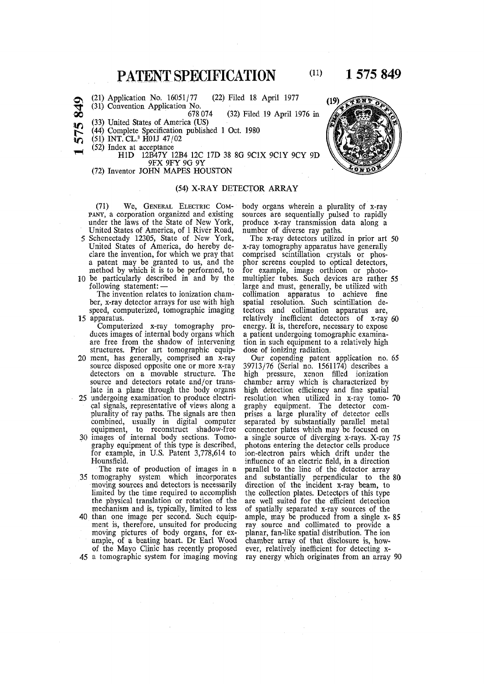## **PATENT SPECIFICATION**

## **1575 849**

(22) Filed 18 April 1977 (21) Application No. 16051/77

 $\infty$ (31) Convention Application No.

(32) Filed 19 April 1976 in 678 074

(33) United States of America (US)

- (44) Complete Specification published 1 Oct. 1980
- (51) INT. CL.<sup>3</sup> H01J 47/02
- (52) Index at acceptance

**V )** 

H ID 12B47Y 12B4 12C 17D 38 8G 9C1X 9C1Y 9CY 9D 9 FX 9FY 9G 9Y

#### (72) Inventor JOHN MAPES HOUSTON

#### (54) X-RAY DETECTOR ARRAY

(71) We, GENERAL ELECTRIC COM- body organs wherein a plurality of x-ray<br>pany, a corporation organized and existing sources are sequentially pulsed to rapidly PANY, a corporation organized and existing sources are sequentially pulsed to rapidly under the laws of the State of New York, produce x-ray transmission data along a United States of America, of 1 River Road, number of diverse ray paths.<br>Schenectady 12305, State of New York, The x-ray detectors utilized in prior art 50 5 Schenectady 12305, State of New York, United States of America, do hereby de-United States of America, do hereby de-<br>clare the invention, for which we pray that comprised scintillation crystals or phosclare the invention, for which we pray that comprised scintillation crystals or phos-<br>a patent may be granted to us, and the phor screens coupled to optical detectors,

method by which it is to be performed, to  $f_0$  be particularly described in and by the

The invention relates to ionization cham- collimation apparatus to achieve fine ber, x-ray detector arrays for use with high spatial resolution. Such scintillation deber, x-ray detector arrays for use with high spatial resolution. Such scintillation de-<br>speed, computerized, tomographic imaging tectors and collimation apparatus are,

duces images of internal body organs which a patient undergoing tomographic examina-<br>are free from the shadow of intervening tion in such equipment to a relatively high

- 20 ment, has generally, comprised an x-ray source disposed opposite one or more x-ray source disposed opposite one or more x-ray 39713/76 (Serial no. 1561174) describes a detectors on a movable structure. The high pressure, xenon filled ionization source and detectors rotate and/or trans- chamber array which is characterized by
- cal signals, representative of views along a graphy equipment. The detector complurality of ray paths. The signals are then prises a large plurality of detector cells combined, usually in digital computer separated by substantially parallel metal equipment, to. reconstruct shadow-free connector plates which may be focused on
- graphy equipment of this type is described, photons entering the detector cells produce<br>for example, in U.S. Patent 3,778,614 to ion-electron pairs which drift under the for example, in U.S. Patent  $3,778,614$  to ion-electron pairs which drift under the Hounsfield. Hounsfield. **influence of an electric field, in a direction**

35 tomography system which incorporates and substantially perpendicular to the 80 moving sources and detectors is necessarily direction of the incident x-ray beam, to limited by the time required to accomplish the collection plates. Detectors of this type the physical translation or rotation of the are well suited for the efficient detection mechanism and is, typically, limited to less of spatially separated x-ray sources of the 40 than one image per second. Such equip-<br>ment is, therefore, unsuited for producing<br>moving pictures of body organs, for ex-

ample, of a beating heart. Dr Earl Wood of the Mayo Clinic has recently proposed

 **(11)**

phor screens coupled to optical detectors, for example, image orthicon or photo-10 be particularly described in and by the multiplier tubes. Such devices are rather 55 following statement: — large and must, generally, be utilized with speed, computerized, tomographic imaging tectors and collimation apparatus are,<br>relatively inefficient detectors of x-ray paratus.<br>
15 apparatus. The computerized x-ray tomography pro- energy It is therefore necessary to expose Computerized x-ray tomography pro- energy. It is, therefore, necessary to expose duces images of internal body organs which a patient undergoing tomographic examination in such equipment to a relatively high dose of ionizing radiation. structures. Prior art tomographic equip-<br>ment, has generally, comprised an x-ray Our copending patent application no. 65

late in a plane through the body organs high detection efficiency and fine spatial 25 undergoing examination to produce electri- resolution when utilized in x-ray tomoundergoing examination to produce electri- resolution when utilized in x-ray tomo- 70 cal signals, representative of views along a graphy equipment. The detector comequipment, to reconstruct shadow-free connector plates which may be focused on<br>30 images of internal body sections. Tomo- a single source of diverging x-rays. X-ray 75<br>graphy equipment of this type is described, photons en The rate of production of images in a parallel to the line of the detector array ample, may be produced from a single x-85 ray source and collimated to provide a planar, fan-like spatial distribution. The ion chamber array of that disclosure is, howof the Mayo Clinic has recently proposed ever, relatively inefficient for detecting x-<br>45 a tomographic system for imaging moving ray energy which originates from an array ray energy which originates from an array 90

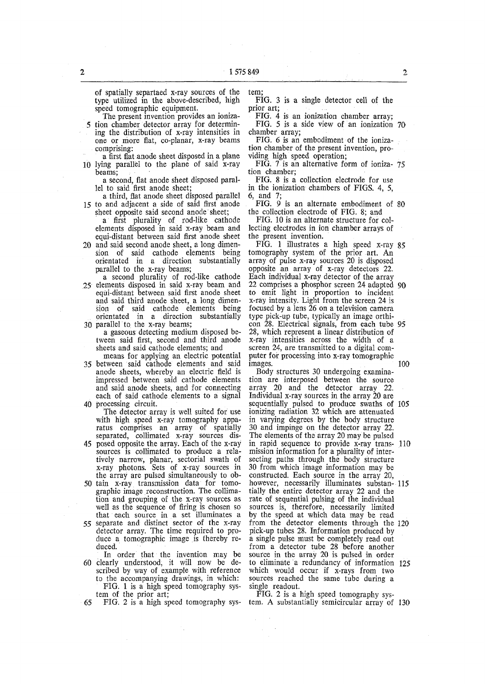of spatially separtaed x-ray sources of the type utilized in the above-described, high speed tomographic equipment.

The present invention provides an ioniza-5 tion chamber detector array for determining the distribution of x-ray intensities in one or more flat, co-planar, x-ray beams comprising:

a first flat anode sheet disposed in a plane 10 lying parallel to the plane of said x-ray beams;

a second, flat anode sheet disposed parallel to said first anode sheet;

a third, flat anode sheet disposed parallel 15 to and adjacent a side of said first anode

sheet opposite said second anode sheet; a first plurality of rod-like cathode elements disposed in said x-ray beam and equi-distant between said first anode sheet

- 20 and said second anode sheet, a long dimension of said cathode elements being orientated in a direction substantially parallel to the x-ray beams;
- a second plurality of rod-like cathode 25 elements disposed in said x-ray beam and equi-distant between said first anode sheet and said third anode sheet, a long dimension of said cathode elements being orientated in a direction substantially
- 30 parallel to the x-ray beams; a gaseous detecting medium disposed between said first, second and third anode sheets and said cathode elements; and

means for applying an electric potential 35 between said cathode elements and said anode sheets, whereby an electric field is

impressed between said cathode elements and said anode sheets, and for connecting each of said cathode elements to a signal 40 processing circuit.

The detector array is well suited for use with high speed x-ray tomography apparatus comprises an array of spatially separated, collimated x-ray sources dis-

- 45 posed opposite the array. Each of the x-ray sources is collimated to produce a relatively narrow, planar, sectorial swath of x-ray photons. Sets of x-ray sources in the array are pulsed simultaneously to ob-
- 50 tain x-ray transmission data for tomographic image reconstruction. The collimation and grouping of the x-ray sources as well as the sequence of firing is chosen so that each source in a set illuminates a
- 55 separate and distinct sector of the x-ray detector array. The time required to produce a tomographic image is thereby reduced.
- In order that the invention may be 60 clearly understood, it will now be described by way of example with reference to the accompanying drawings, in which: FIG. 1 is a high speed tomography system of the prior art;

65 FIG. 2 is a high speed tomography sys-

tem;

FIG. 3 is a single detector cell of the prior art;

FIG. 4 is an ionization chamber array;

FIG. 5 is a side view of an ionization 70 chamber array;

FIG. 6 is an embodiment of the ionization chamber of the present invention, providing high speed operation;

FIG. 7 is an alternative form of ioniza- 75 tion chamber;

FIG. 8 is a collection electrode for use in the ionization chambers of FIGS. 4, 5, 6, and 7;

FIG. 9 is an alternate embodiment of 80 the collection electrode of FIG. 8; and

FIG. 10 is an alternate structure for collecting electrodes in ion chamber arrays of the present invention.

FIG. 1 illustrates a high speed x-ray  $85$ tomography system of the prior art. An array of pulse x-ray sources 20 is disposed opposite an array of x-ray detectors 22. Each individual x-ray detector of the array 22 comprises a phosphor screen 24 adapted 90 to emit light in proportion to incident x-ray intensity. Light from the screen 24 is focused by a lens 26 on a television camera type pick-up tube, typically an image orthicon 28. Electrical signals, from each tube 95 28, which represent a linear distribution of x-ray intensities across the width of a screen 24, are transmitted to a digital computer for processing into x-ray tomographic images. 100

Body structures 30 undergoing examination are interposed between the source array 20 and the detector array 22. Individual x-ray sources in the array 20 are sequentially pulsed to produce swaths of 105 ionizing radiation 32 which are attenuated in varying degrees by the body structure 30 and impinge on the detector array 22. The elements of the array 20 may be pulsed in rapid sequence to provide x-ray trans- 110 mission information for a plurality of intersecting paths through the body structure 30 from which image information may be constructed. Each source in the array 20, however, necessarily illuminates substan- 115 tially the entire detector array 22 and the rate of sequential pulsing of the individual sources is, therefore, necessarily limited by the speed at which data may be read from the detector elements through the 120 pick-up tubes 28. Information produced by plex up ruces 20: information produced by from a detector tube 28 before another source in the array 20 is pulsed in order to eliminate a redundancy of information 125 which would occur if x-rays from two which would occur it a-lays from two sources reached

FIG. 2 is a high speed tomography system. A substantially semicircular array of 130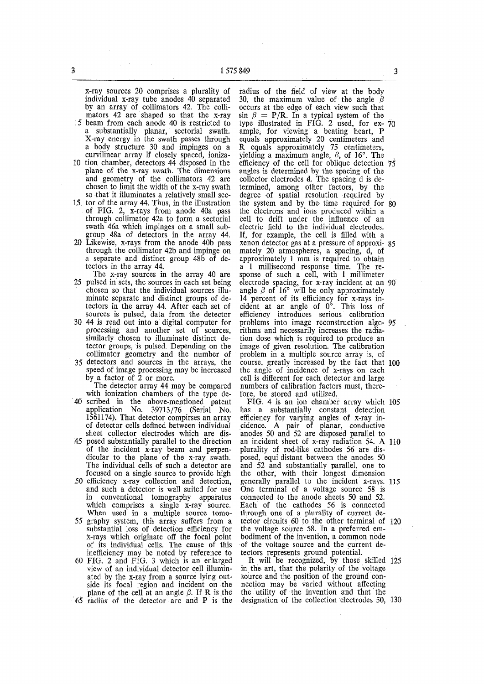x-ray sources 20 comprises a plurality of individual x-ray tube anodes 40 separated by an array of collimators 42. The collimators 42 are shaped so that the x-ray ' 5 beam from each anode 40 is restricted to

a substantially planar, sectorial swath. X-ray energy in the swath passes through a body structure 30 and impinges on a curvilinear array if closely spaced, ioniza-

- 10 tion chamber, detectors 44 disposed in the plane of the x-ray swath. The dimensions and geometry of the collimators 42 are chosen to limit the width of the x-ray swath so that it illuminates a relatively small sec-
- 15 tor of the array 44. Thus, in the illustration of FIG. 2, x-rays from anode 40a pass through collimator 42a to form a sectorial swath 46a which impinges on a small subgroup 48a of detectors in the array 44.
- 20 Likewise, x-rays from the anode 40b pass through the collimator 42b and impinge on a separate and distinct group 48b of detectors in the array 44.
- The x-ray sources in the array 40 are 25 pulsed in sets, the sources in each set being chosen so that the individual sources illuminate separate and distinct groups of detectors in the array 44. After each set of sources is pulsed, data from the detector
- 30 44 is read out into a digital computer for processing and another set of sources, similarly chosen to illuminate distinct detector groups, is pulsed. Depending on the collimator geometry and the number of
- 35 detectors and sources in the arrays, the speed of image processing may be increased by a factor of 2 or more.
- The detector array 44 may be compared with ionization chambers of the type de-40 scribed in the above-mentioned patent application No. 39713/76 (Serial No. 1561174). That detector compirses an array of detector cells defined between individual sheet collector electrodes which are dis-45 posed substantially parallel to the direction
- of the incident x-ray beam and perpendicular to the plane of the x-ray swath. The individual cells of such a detector are focused on a single source to provide high
- 50 efficiency x-ray collection and detection, and such a detector is well suited for use in conventional tomography apparatus which comprises a single x-ray source. When used in a multiple source tomo-
- 55 graphy system, this array suffers from a substantial loss of detection efficiency for x-rays which originate off the focal point of its individual cells. The cause of this inefficiency may be noted by reference to
- 60 FIG. 2 and FIG. 3 which is an enlarged view of an individual detector cell illuminated by the x-ray from a source lying outside its focal region and incident on the plane of the cell at an angle  $\beta$ . If R is the 65 radius of the detector arc and P is the

radius of the field of view at the body 30, the maximum value of the angle  $\beta$ occurs at the edge of each view such that  $\sin \beta = P/R$ . In a typical system of the type illustrated in FIG. 2 used, for ex- 70 ample, for viewing a beating heart, P equals approximately 20 centimeters and R equals approximately 75 centimeters, yielding a maximum angle,  $\beta$ , of 16°. The efficiency of the cell for oblique detection 75 angles is determined by the spacing of the collector electrodes d. The spacing d is determined, among other factors, by the degree of spatial resolution required by the system and by the time required for 80 the electrons and ions produced within a cell to drift under the influence of an electric field to the individual electrodes. If, for example, the cell is filled with a xenon detector gas at a pressure of approxi- 85 mately 20 atmospheres, a spacing, d, of approximately 1 mm is required to obtain a 1 millisecond response time. The response of such a cell, with 1 millimeter electrode spacing, for x-ray incident at an 90 angle  $R$  of  $16^\circ$  will be only approximately angle  $\beta$  of 10 will be only approximately cident at an angle of 0°. This loss of efficiency introduces serious calibration problems into image reconstruction algo- 05 problems mo mage reconstruction argution dose which is required to produce an image of given resolution. The calibration image of given resolution. The calibration problem in a multiple source array is, of course, greatly increased by the fact that 100 course, greatly increased by the ract that  $C_{\text{eff}}$  angle of including of  $x$ -rays on each detector cell is different for each detector and large numbers of calibration factors must, there-<br>fore, be stored and utilized.

FIG. 4 is an ion chamber array which 105 has a substantially constant detection efficiency for varying angles of x-ray incidence. A pair of planar, conductive anodes 50 and 52 are disposed parallel to an incident sheet of x-ray radiation 54. A 110 plurality of rod-like cathodes 56 are disposed, equi-distant between the anodes 50 and 52 and substantially parallel, one to the other, with their longest dimension generally parallel to the incident x-rays. 115 One terminal of a voltage source 58 is connected to the anode sheets 50 and 52. Each of the cathodes 56 is connected through one of a plurality of current detector circuits 60 to the other terminal of 120 the voltage source 58. In a preferred embodiment of the invention, a common node of the voltage source and the current detectors represents ground potential.

It will be recognized, by those skilled 125 in the art, that the polarity of the voltage source and the position of the ground connection may be varied without affecting the utility of the invention and that the designation of the collection electrodes 50, 130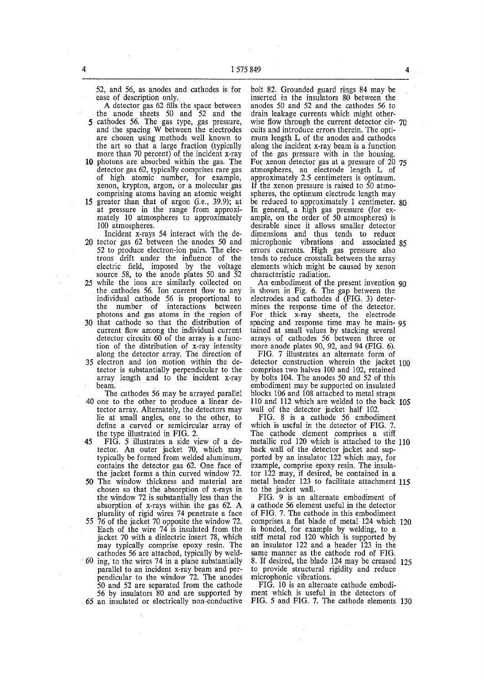52, and 56, as anodes and cathodes is for ease of description only.

A detector gas 62 fills the space between the anode sheets 50 and 52 and the 5 cathodes 56. The gas type, gas pressure, and the spacing W between the electrodes are chosen using methods well known to the art so that a large fraction (typically more than 70 percent) of the incident x-ray

- 10 photons are absorbed within the gas. The detector gas 62, typically comprises rare gas of high atomic number, for example, xenon, krypton, argon, or a molecular gas comprising atoms having an atomic weight
- 15 greater than that of argon (i.e., 39.9); at at pressure in the range from approximately 10 atmospheres to approximately 100 atmospheres.

Incident x-rays 54 interact with the de-20 tector gas 62 between the anodes 50 and

- 52 to produce electron-ion pairs. The electrons drift under the influence of the electric field, imposed by the voltage source 58, to the anode plates 50 and 52 25 while the ions are similarly collected on
- the cathodes 56. Ion current flow to any individual cathode 56 is proportional to the number of interactions between photons and gas atoms in the region of
- 30 that cathode so that the distribution of current flow among the individual current detector circuits 60 of the array is a function of the distribution of x-ray intensity along the detector array. The direction of
- 35 electron and ion motion within the detector is substantially perpendicular to the array length and to the incident x-ray beam.
- The cathodes 56 may be arrayed parallel 40 one to the other to produce a linear detector array. Alternately, the detectors may lie at small angles, one to the other, to define a curved or semicircular array of the type illustrated in FIG. 2.
- 45 FIG. 5 illustrates a side view of a detector. An outer jacket 70, which may typically be formed from welded aluminum, contains the detector gas 62. One face of the jacket forms a thin curved window 72.
- 50 The window thickness and material are chosen so that the absorption of x-rays in the window 72 is substantially less than the absorption of x-rays within the gas 62. A plurality of rigid wires 74 penetrate a face
- 55 76 of the jacket 70 opposite the window 72. Each of the wire 74 is insulated from the jacket 70 with a dielectric insert 78, which may typically comprise epoxy resin. The cathodes 56 are attached, typically by weld-
- ; 60 ing, to the wires 74 in a plane substantially parallel to an incident x-ray beam and perpendicular to the window 72. The anodes 50 and 52 are separated from the cathode 56 by insulators 80 and are supported by 65 an insulated or electrically non-conductive

bolt 82. Grounded guard rings 84 may be inserted in the insulators 80 between the anodes 50 and 52 and the cathodes 56 to drain leakage currents which might otherwise flow through the current detector cir- 70 cuits and introduce errors therein. The optimum length L of the anodes and cathodes along the incident x-ray beam is a function of the gas pressure with in the housing. For xenon detector gas at a pressure of 20 75 atmospheres, an electrode length L of approximately 2.5 centimeters is optimum. If the xenon pressure is raised to 50 atmospheres, the optimum electrode length may be reduced to approximately 1 centimeter. 80 In general, a high gas pressure (for example, on the order of 50 atmospheres) is desirable since it allows smaller detector dimensions and thus tends to reduce microphonic vibrations and associated 85 errors currents. High gas pressure also tends to reduce crosstalk between the array elements which might be caused by xenon characteristic radiation.

An embodiment of the present invention 90 is shown in Fig. 6. The gap between the electrodes and cathodes d (FIG. 3) determines the response time of the detector. For thick x-ray sheets, the electrode spacing and response time may be main- 95 tained at small values by stacking several arrays of cathodes 56 between three or more anode plates 90, 92, and 94 (FIG. 6).

FIG. 7 illustrates an alternate form of detector construction wherein the jacket 100 comprises two halves 100 and 102, retained by bolts 104. The anodes 50 and 52 of this embodiment may be supported on insulated blocks 106 and 108 attached to metal straps 110 and 112 which are welded to the back 105 wall of the detector jacket half 102.

FIG. 8 is a cathode 56 embodiment which is useful in the detector of FIG. 7. The cathode element comprises a stiff metallic rod 120 which is attached to the 110 back wall of the detector jacket and supported by an insulator 122 which may, for example, comprise epoxy resin. The insulator 122 may, if desired, be contained in a metal header 123 to facilitate attachment 115 to the jacket wall.

FIG. 9 is an alternate embodiment of a cathode 56 element useful in the detector of FIG. 7. The cathode in this embodiment comprises a flat blade of metal 124 which 120 is bonded, for example by welding, to a stiff metal rod 120 which is supported by an insulator 122 and a header 123 in the same manner as the cathode rod of FIG. 8. If desired, the blade 124 may be creased 125 to provide structural rigidity and reduce microphonic vibrations.

FIG. 10 is an alternate cathode embodiment which is useful in the detectors of FIG. 5 and FIG. 7. The cathode elements 130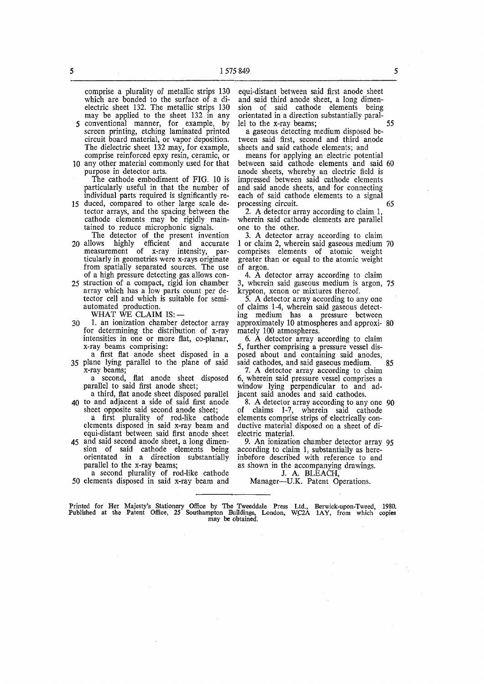comprise a plurality of metallic strips 130 which are bonded to the surface of a dielectric sheet 132. The metallic strips 130 may be applied to the sheet 132 in any

- 5 conventional manner, for example, by screen printing, etching laminated printed circuit board material, or vapor deposition. The dielectric sheet 132 may, for example, comprise reinforced epxy resin, ceramic, or
- 10 any other material commonly used for that purpose in detector arts. The cathode embodiment of FIG. 10 is
- particularly useful in that the number of individual parts required is significantly re-15 duced, compared to other large scale de-
- tector arrays, and the spacing between the cathode elements may be rigidly maintained to reduce microphonic signals. The detector of the present invention
- 20 allows highly efficient and accurate measurement of x-ray intensity, particularly in geometries were x-rays originate from spatially separated sources. The use of a high pressure detecting gas allows con-
- 25 struction of a compact, rigid ion chamber array which has a low parts count per detector cell and which is suitable for semiautomated production.

WHAT WE CLAIM IS:  $-$ 

- 30 1. an ionization chamber detector array for determining the distribution of x-ray intensities in one or more flat, co-planar, x-ray beams comprising:
- a first flat anode sheet disposed in a 35 plane lying parallel to the plane of said x-ray beams;

a second, flat anode sheet disposed parallel to said first anode sheet;

- a third, flat anode sheet disposed parallel 40 to and adjacent a side of said first anode sheet opposite said second anode sheet;
	- a first plurality of rod-like cathode elements disposed in said x-ray beam and equi-distant between said first anode sheet
- 45 and said second anode sheet, a long dimension of said cathode elements being orientated in a direction substantially parallel to the x-ray beams;

a second plurality of rod-like cathode 50 elements disposed in said x-ray beam and equi-distant between said first anode sheet and said third anode sheet, a long dimension of said cathode elements being orientated in a direction substantially parallel to the x-ray beams; 55

a gaseous detecting medium disposed between said first, second and third anode sheets and said cathode elements; and

means for applying an electric potential between said cathode elements and said 60 anode sheets, whereby an electric field is impressed between said cathode elements and said anode sheets, and for connecting each of said cathode elements to a signal processing circuit. 65

2. A detector array according to claim 1, wherein said cathode elements are parallel one to the other.

3. A detector array according to claim 1 or claim 2, wherein said gaseous medium 70 comprises elements of atomic weight greater than or equal to the atomic weight of argon.

4. A detector array according to claim 3, wherein said gaseous medium is argon, 75 krypton, xenon or mixtures thereof.

5. A detector array according to any one of claims 1-4, wherein said gaseous detecting medium has a pressure between approximately 10 atmospheres and approxi- 80 mately 100 atmospheres.

6. A detector array according to claim 5, further comprising a pressure vessel disposed about and containing said anodes, said cathodes, and said gaseous medium. 85

7. A detector array according to claim 6, wherein said pressure vessel comprises a window lying perpendicular to and adjacent said anodes and said cathodes.

8. A detector array according to any one 90 of claims 1-7, wherein said cathode elements comprise strips of electrically conductive material disposed on a sheet of dielectric material.

9. An ionization chamber detector array 95 according to claim 1, substantially as hereinbefore described with reference to and as shown in the accompanying drawings.

J. A. BLEACH, Manager—U.K. Patent Operations.

Printed for Her Majesty's Stationery Office by The Tweeddale Press Ltd., Berwick-upon-Tweed, 1980. Published at the Patent Office, 25 Southampton Buildings, London, W.C2A 1AY, from which copies may be obtained.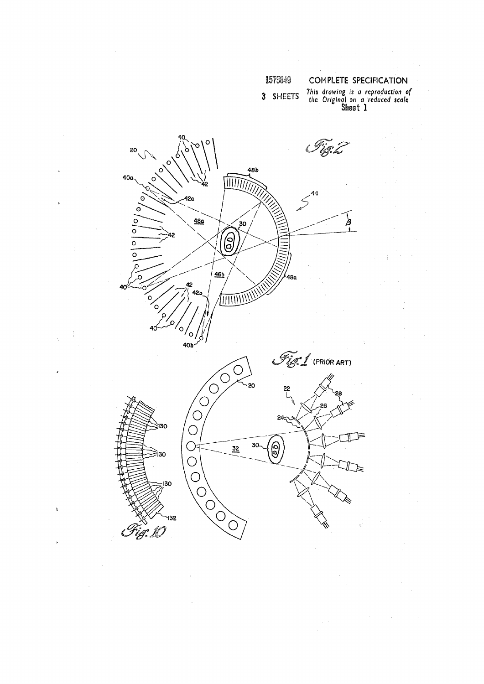## 1575849

### **COMPLETE SPECIFICATION**

3 SHEETS

This drawing is a reproduction of<br>the Original on a reduced scale<br>Sheet 1

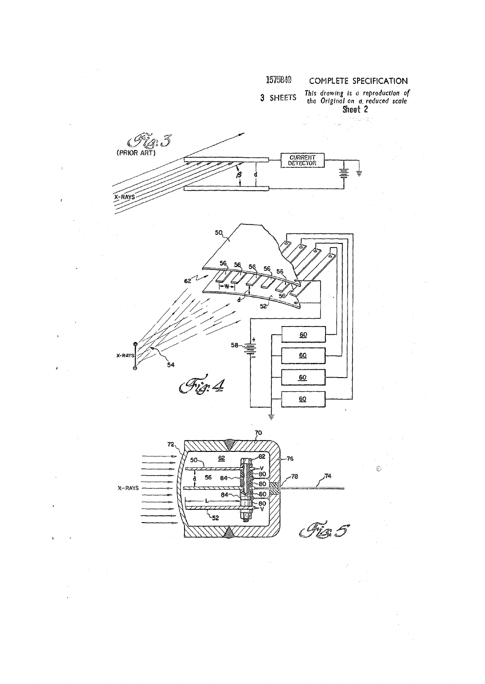

 $\overline{\phantom{a}}$ 

 $\overline{\mathbf{C}}$ 

 $\overline{ }$ 



 $\hat{\boldsymbol{\beta}}$ 

 $\frac{d^2}{d^2}$